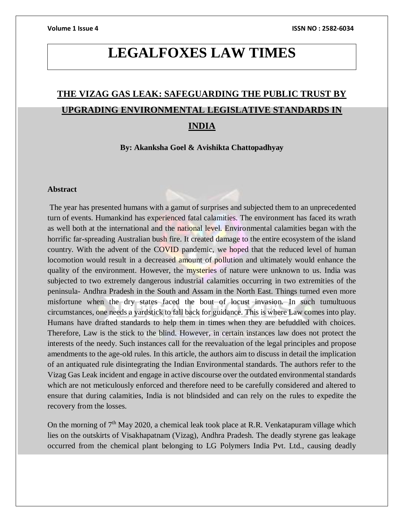# **LEGALFOXES LAW TIMES**

# **THE VIZAG GAS LEAK: SAFEGUARDING THE PUBLIC TRUST BY UPGRADING ENVIRONMENTAL LEGISLATIVE STANDARDS IN INDIA**

**By: Akanksha Goel & Avishikta Chattopadhyay**

# **Abstract**

The year has presented humans with a gamut of surprises and subjected them to an unprecedented turn of events. Humankind has experienced fatal calamities. The environment has faced its wrath as well both at the international and the national level. Environmental calamities began with the horrific far-spreading Australian bush fire. It created damage to the entire ecosystem of the island country. With the advent of the COVID pandemic, we hoped that the reduced level of human locomotion would result in a decreased amount of pollution and ultimately would enhance the quality of the environment. However, the mysteries of nature were unknown to us. India was subjected to two extremely dangerous industrial calamities occurring in two extremities of the peninsula- Andhra Pradesh in the South and Assam in the North East. Things turned even more misfortune when the dry states faced the bout of locust invasion. In such tumultuous circumstances, one needs a yardstick to fall back for guidance. This is where Law comes into play. Humans have drafted standards to help them in times when they are befuddled with choices. Therefore, Law is the stick to the blind. However, in certain instances law does not protect the interests of the needy. Such instances call for the reevaluation of the legal principles and propose amendments to the age-old rules. In this article, the authors aim to discuss in detail the implication of an antiquated rule disintegrating the Indian Environmental standards. The authors refer to the Vizag Gas Leak incident and engage in active discourse over the outdated environmental standards which are not meticulously enforced and therefore need to be carefully considered and altered to ensure that during calamities, India is not blindsided and can rely on the rules to expedite the recovery from the losses.

On the morning of  $7<sup>th</sup>$  May 2020, a chemical leak took place at R.R. Venkatapuram village which lies on the outskirts of Visakhapatnam (Vizag), Andhra Pradesh. The deadly styrene gas leakage occurred from the chemical plant belonging to LG Polymers India Pvt. Ltd., causing deadly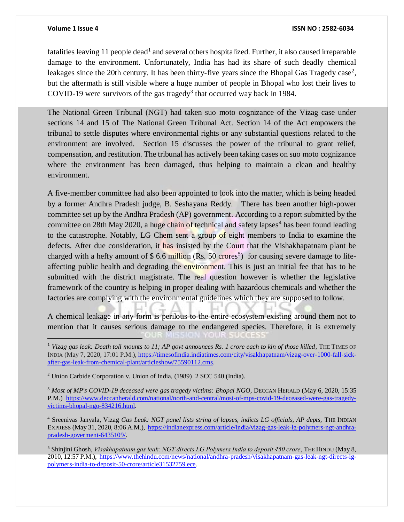## **Volume 1 Issue 4 ISSN NO : 2582-6034**

fatalities leaving 11 people dead<sup>1</sup> and several others hospitalized. Further, it also caused irreparable damage to the environment. Unfortunately, India has had its share of such deadly chemical leakages since the 20th century. It has been thirty-five years since the Bhopal Gas Tragedy case<sup>2</sup>, but the aftermath is still visible where a huge number of people in Bhopal who lost their lives to COVID-19 were survivors of the gas tragedy<sup>3</sup> that occurred way back in 1984.

The National Green Tribunal (NGT) had taken suo moto cognizance of the Vizag case under sections 14 and 15 of The National Green Tribunal Act. Section 14 of the Act empowers the tribunal to settle disputes where environmental rights or any substantial questions related to the environment are involved. Section 15 discusses the power of the tribunal to grant relief, compensation, and restitution. The tribunal has actively been taking cases on suo moto cognizance where the environment has been damaged, thus helping to maintain a clean and healthy environment.

A five-member committee had also been appointed to look into the matter, which is being headed by a former Andhra Pradesh judge, B. Seshayana Reddy. There has been another high-power committee set up by the Andhra Pradesh (AP) government. According to a report submitted by the committee on 28th May 2020, a huge chain of technical and safety lapses<sup>4</sup> has been found leading to the catastrophe. Notably, LG Chem sent a group of eight members to India to examine the defects. After due consideration, it has insisted by the Court that the Vishakhapatnam plant be charged with a hefty amount of  $$6.6$  million (Rs. 50 crores<sup>5</sup>) for causing severe damage to lifeaffecting public health and degrading the environment. This is just an initial fee that has to be submitted with the district magistrate. The real question however is whether the legislative framework of the country is helping in proper dealing with hazardous chemicals and whether the factories are complying with the environmental guidelines which they are supposed to follow.

A chemical leakage in any form is perilous to the entire ecosystem existing around them not to mention that it causes serious damage to the endangered species. Therefore, it is extremely 

<sup>1</sup> Vizag gas leak: Death toll mounts to 11; AP govt announces Rs. 1 crore each to kin of those killed, THE TIMES OF INDIA (May 7, 2020, 17:01 P.M.)[, https://timesofindia.indiatimes.com/city/visakhapatnam/vizag-over-1000-fall-sick](https://timesofindia.indiatimes.com/city/visakhapatnam/vizag-over-1000-fall-sick-after-gas-leak-from-chemical-plant/articleshow/75590112.cms)[after-gas-leak-from-chemical-plant/articleshow/75590112.cms.](https://timesofindia.indiatimes.com/city/visakhapatnam/vizag-over-1000-fall-sick-after-gas-leak-from-chemical-plant/articleshow/75590112.cms)

<sup>2</sup> Union Carbide Corporation v. Union of India, (1989) 2 SCC 540 (India).

<sup>3</sup> *Most of MP's COVID-19 deceased were gas tragedy victims: Bhopal NGO*, DECCAN HERALD (May 6, 2020, 15:35 P.M.) [https://www.deccanherald.com/national/north-and-central/most-of-mps-covid-19-deceased-were-gas-tragedy](https://www.deccanherald.com/national/north-and-central/most-of-mps-covid-19-deceased-were-gas-tragedy-victims-bhopal-ngo-834216.html)[victims-bhopal-ngo-834216.html.](https://www.deccanherald.com/national/north-and-central/most-of-mps-covid-19-deceased-were-gas-tragedy-victims-bhopal-ngo-834216.html)

<sup>4</sup> Sreenivas Janyala, Vizag *Gas Leak: NGT panel lists string of lapses, indicts LG officials, AP depts,* THE INDIAN EXPRESS (May 31, 2020, 8:06 A.M.), [https://indianexpress.com/article/india/vizag-gas-leak-lg-polymers-ngt-andhra](https://indianexpress.com/article/india/vizag-gas-leak-lg-polymers-ngt-andhra-pradesh-goverment-6435109/)[pradesh-goverment-6435109/.](https://indianexpress.com/article/india/vizag-gas-leak-lg-polymers-ngt-andhra-pradesh-goverment-6435109/)

<sup>5</sup> Shinjini Ghosh, *Visakhapatnam gas leak: NGT directs LG Polymers India to deposit ₹50 crore*, THE HINDU (May 8, 2010, 12:57 P.M.), [https://www.thehindu.com/news/national/andhra-pradesh/visakhapatnam-gas-leak-ngt-directs-lg](https://www.thehindu.com/news/national/andhra-pradesh/visakhapatnam-gas-leak-ngt-directs-lg-polymers-india-to-deposit-50-crore/article31532759.ece)[polymers-india-to-deposit-50-crore/article31532759.ece.](https://www.thehindu.com/news/national/andhra-pradesh/visakhapatnam-gas-leak-ngt-directs-lg-polymers-india-to-deposit-50-crore/article31532759.ece)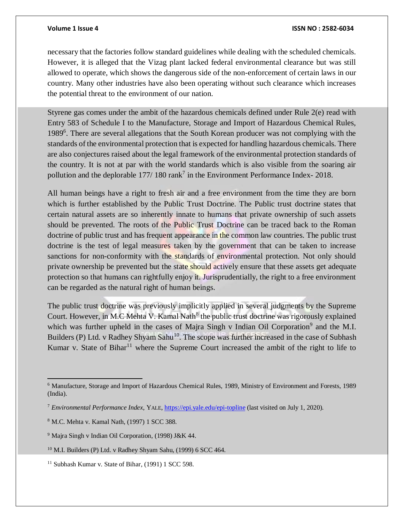## **Volume 1 Issue 4 ISSN NO : 2582-6034**

necessary that the factories follow standard guidelines while dealing with the scheduled chemicals. However, it is alleged that the Vizag plant lacked federal environmental clearance but was still allowed to operate, which shows the dangerous side of the non-enforcement of certain laws in our country. Many other industries have also been operating without such clearance which increases the potential threat to the environment of our nation.

Styrene gas comes under the ambit of the hazardous chemicals defined under Rule 2(e) read with Entry 583 of Schedule I to the Manufacture, Storage and Import of Hazardous Chemical Rules, 1989<sup>6</sup>. There are several allegations that the South Korean producer was not complying with the standards of the environmental protection that is expected for handling hazardous chemicals. There are also conjectures raised about the legal framework of the environmental protection standards of the country. It is not at par with the world standards which is also visible from the soaring air pollution and the deplorable  $177/180$  rank<sup>7</sup> in the Environment Performance Index-2018.

All human beings have a right to fresh air and a free environment from the time they are born which is further established by the Public Trust Doctrine. The Public trust doctrine states that certain natural assets are so inherently innate to humans that private ownership of such assets should be prevented. The roots of the Public Trust Doctrine can be traced back to the Roman doctrine of public trust and has frequent appearance in the common law countries. The public trust doctrine is the test of legal measures taken by the government that can be taken to increase sanctions for non-conformity with the standards of environmental protection. Not only should private ownership be prevented but the state should actively ensure that these assets get adequate protection so that humans can rightfully enjoy it. Jurisprudentially, the right to a free environment can be regarded as the natural right of human beings.

The public trust doctrine was previously implicitly applied in several judgments by the Supreme Court. However, in [M.C Mehta V. Kamal Nath](https://indiankanoon.org/doc/1514672/)<sup>8</sup> the public trust doctrine was rigorously explained which was further upheld in the cases of Majra Singh v Indian Oil Corporation<sup>9</sup> and the M.I. Builders (P) Ltd. v Radhey Shyam Sahu<sup>10</sup>. The scope was further increased in the case of Subhash Kumar v. State of Bihar<sup>11</sup> where the Supreme Court increased the ambit of the right to life to

 $\overline{a}$ 

<sup>6</sup> Manufacture, Storage and Import of Hazardous Chemical Rules, 1989, Ministry of Environment and Forests, 1989 (India).

<sup>7</sup> *Environmental Performance Index*, YALE,<https://epi.yale.edu/epi-topline> (last visited on July 1, 2020).

<sup>8</sup> M.C. Mehta v. Kamal Nath, (1997) 1 SCC 388.

<sup>9</sup> [Majra Singh v Indian Oil Corporation,](https://indiankanoon.org/doc/201603/) (1998) J&K 44.

<sup>10</sup> M.I. Builders (P) Ltd. v Radhey Shyam Sahu, (1999) 6 SCC 464.

<sup>&</sup>lt;sup>11</sup> [Subhash Kumar v. State of Bihar,](https://indiankanoon.org/doc/1646284/) (1991) 1 SCC 598.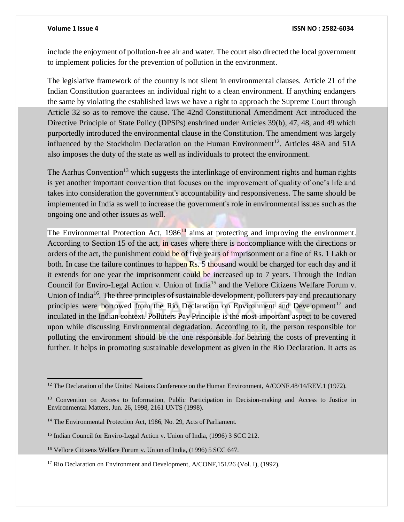$\overline{a}$ 

### **Volume 1 Issue 4 ISSN NO : 2582-6034**

include the enjoyment of pollution-free air and water. The court also directed the local government to implement policies for the prevention of pollution in the environment.

The legislative framework of the country is not silent in environmental clauses. Article 21 of the Indian Constitution guarantees an individual right to a clean environment. If anything endangers the same by violating the established laws we have a right to approach the Supreme Court through Article 32 so as to remove the cause. The 42nd Constitutional Amendment Act introduced the Directive Principle of State Policy (DPSPs) enshrined under Articles 39(b), 47, 48, and 49 which purportedly introduced the environmental clause in the Constitution. The amendment was largely influenced by the Stockholm Declaration on the Human Environment<sup>12</sup>. Articles  $48A$  and  $51A$ also imposes the duty of the state as well as individuals to protect the environment.

The Aarhus Convention<sup>13</sup> which suggests the interlinkage of environment rights and human rights is yet another important convention that focuses on the improvement of quality of one's life and takes into consideration the government's accountability and responsiveness. The same should be implemented in India as well to increase the government's role in environmental issues such as the ongoing one and other issues as well.

The Environmental Protection Act,  $1986<sup>14</sup>$  aims at protecting and improving the environment. According to Section 15 of the act, in cases where there is noncompliance with the directions or orders of the act, the punishment could be of five years of imprisonment or a fine of Rs. 1 Lakh or both. In case the failure continues to happen Rs. 5 thousand would be charged for each day and if it extends for one year the imprisonment could be increased up to 7 years. Through the [Indian](https://indiankanoon.org/doc/1818014/)  [Council for Enviro-Legal Action v. Union of India](https://indiankanoon.org/doc/1818014/)<sup>15</sup> and the Vellore Citizens Welfare Forum v. Union of India<sup>16</sup>. The three principles of sustainable development, polluters pay and precautionary principles were borrowed from the Rio Declaration on Environment and Development<sup>17</sup> and inculated in the Indian context. Polluters Pay Principle is the most important aspect to be covered upon while discussing Environmental degradation. According to it, the person responsible for polluting the environment should be the one responsible for bearing the costs of preventing it further. It helps in promoting sustainable development as given in the Rio Declaration. It acts as

<sup>&</sup>lt;sup>12</sup> The Declaration of the United Nations Conference on the Human Environment, A/CONF.48/14/REV.1 (1972).

<sup>&</sup>lt;sup>13</sup> Convention on Access to Information, Public Participation in Decision-making and Access to Justice in Environmental Matters, Jun. 26, 1998, 2161 UNTS (1998).

<sup>&</sup>lt;sup>14</sup> The Environmental Protection Act, 1986, No. 29, Acts of Parliament.

<sup>&</sup>lt;sup>15</sup> [Indian Council for Enviro-Legal Action v. Union of India,](https://indiankanoon.org/doc/1818014/) (1996) 3 SCC 212.

<sup>16</sup> Vellore Citizens Welfare Forum v. Union of India, (1996) 5 SCC 647.

<sup>&</sup>lt;sup>17</sup> Rio Declaration on Environment and Development, A/CONF, 151/26 (Vol. I), (1992).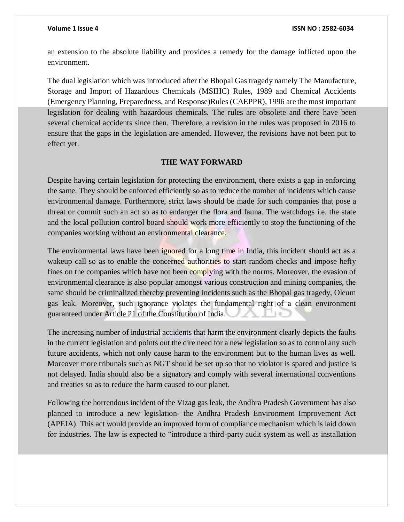an extension to the absolute liability and provides a remedy for the damage inflicted upon the environment.

The dual legislation which was introduced after the Bhopal Gas tragedy namely The Manufacture, Storage and Import of Hazardous Chemicals (MSIHC) Rules, 1989 and Chemical Accidents (Emergency Planning, Preparedness, and Response)Rules (CAEPPR), 1996 are the most important legislation for dealing with hazardous chemicals. The rules are obsolete and there have been several chemical accidents since then. Therefore, a revision in the rules was proposed in 2016 to ensure that the gaps in the legislation are amended. However, the revisions have not been put to effect yet.

# **THE WAY FORWARD**

Despite having certain legislation for protecting the environment, there exists a gap in enforcing the same. They should be enforced efficiently so as to reduce the number of incidents which cause environmental damage. Furthermore, strict laws should be made for such companies that pose a threat or commit such an act so as to endanger the flora and fauna. The watchdogs i.e. the state and the local pollution control board should work more efficiently to stop the functioning of the companies working without an environmental clearance.

The environmental laws have been ignored for a long time in India, this incident should act as a wakeup call so as to enable the concerned authorities to start random checks and impose hefty fines on the companies which have not been complying with the norms. Moreover, the evasion of environmental clearance is also popular amongst various construction and mining companies, the same should be criminalized thereby preventing incidents such as the Bhopal gas tragedy, Oleum gas leak. Moreover, such ignorance violates the fundamental right of a clean environment guaranteed under Article 21 of the Constitution of India.

The increasing number of industrial accidents that harm the environment clearly depicts the faults in the current legislation and points out the dire need for a new legislation so as to control any such future accidents, which not only cause harm to the environment but to the human lives as well. Moreover more tribunals such as NGT should be set up so that no violator is spared and justice is not delayed. India should also be a signatory and comply with several international conventions and treaties so as to reduce the harm caused to our planet.

Following the horrendous incident of the Vizag gas leak, the Andhra Pradesh Government has also planned to introduce a new legislation- the Andhra Pradesh Environment Improvement Act (APEIA). This act would provide an improved form of compliance mechanism which is laid down for industries. The law is expected to "introduce a third-party audit system as well as installation